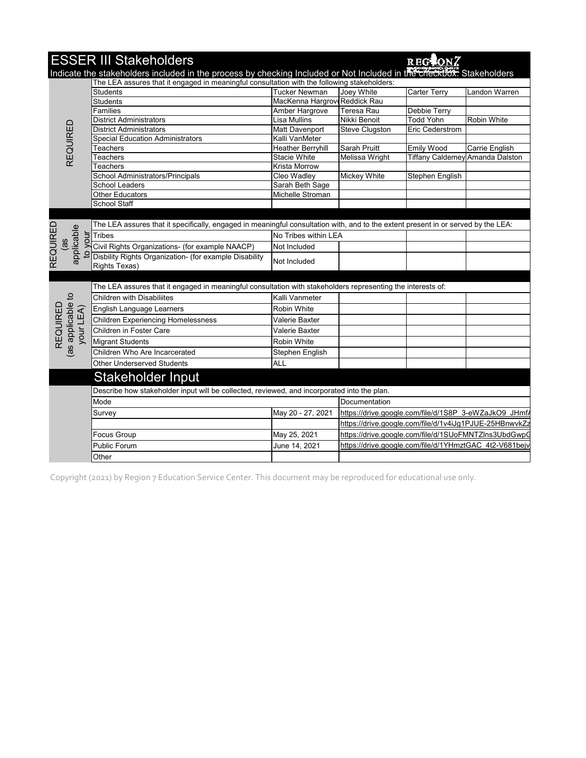|                       | <b>ESSER III Stakeholders</b>                                                                                                                                                                                       |                               |                     | REG CONZ                                               |                    |
|-----------------------|---------------------------------------------------------------------------------------------------------------------------------------------------------------------------------------------------------------------|-------------------------------|---------------------|--------------------------------------------------------|--------------------|
|                       | Indicate the stakeholders included in the process by checking Included or Not Included in the checkbox. Stakeholders<br>The LEA assures that it engaged in meaningful consultation with the following stakeholders: |                               |                     |                                                        |                    |
|                       | <b>Students</b>                                                                                                                                                                                                     | <b>Tucker Newman</b>          | Joey White          | <b>Carter Terry</b>                                    | Landon Warren      |
|                       | <b>Students</b>                                                                                                                                                                                                     | MacKenna Hargrove Reddick Rau |                     |                                                        |                    |
|                       | Families                                                                                                                                                                                                            | Amber Hargrove                | Teresa Rau          | Debbie Terry                                           |                    |
|                       | <b>District Administrators</b>                                                                                                                                                                                      | Lisa Mullins                  | Nikki Benoit        | <b>Todd Yohn</b>                                       | <b>Robin White</b> |
|                       | <b>District Administrators</b>                                                                                                                                                                                      | Matt Davenport                | Steve Clugston      | Eric Cederstrom                                        |                    |
| REQUIRED              | <b>Special Education Administrators</b>                                                                                                                                                                             | Kalli VanMeter                |                     |                                                        |                    |
|                       | Teachers                                                                                                                                                                                                            | <b>Heather Berryhill</b>      | Sarah Pruitt        | <b>Emily Wood</b>                                      | Carrie English     |
|                       | Teachers                                                                                                                                                                                                            | <b>Stacie White</b>           | Melissa Wright      | Tiffany Caldemey Amanda Dalston                        |                    |
|                       | <b>Teachers</b>                                                                                                                                                                                                     | Krista Morrow                 |                     |                                                        |                    |
|                       | School Administrators/Principals                                                                                                                                                                                    | Cleo Wadley                   | <b>Mickey White</b> | Stephen English                                        |                    |
|                       | <b>School Leaders</b>                                                                                                                                                                                               | Sarah Beth Sage               |                     |                                                        |                    |
|                       | <b>Other Educators</b>                                                                                                                                                                                              | Michelle Stroman              |                     |                                                        |                    |
|                       | School Staff                                                                                                                                                                                                        |                               |                     |                                                        |                    |
|                       |                                                                                                                                                                                                                     |                               |                     |                                                        |                    |
|                       | The LEA assures that it specifically, engaged in meaningful consultation with, and to the extent present in or served by the LEA:                                                                                   |                               |                     |                                                        |                    |
| your                  | <b>Tribes</b>                                                                                                                                                                                                       | No Tribes within LEA          |                     |                                                        |                    |
| applicable<br>ce)     | Civil Rights Organizations- (for example NAACP)                                                                                                                                                                     | Not Included                  |                     |                                                        |                    |
| <b>REQUIRED</b>       | Disbility Rights Organization- (for example Disability                                                                                                                                                              |                               |                     |                                                        |                    |
|                       | Rights Texas)                                                                                                                                                                                                       | Not Included                  |                     |                                                        |                    |
|                       |                                                                                                                                                                                                                     |                               |                     |                                                        |                    |
|                       | The LEA assures that it engaged in meaningful consultation with stakeholders representing the interests of:                                                                                                         |                               |                     |                                                        |                    |
|                       | <b>Children with Disabiliites</b>                                                                                                                                                                                   | Kalli Vanmeter                |                     |                                                        |                    |
| (as applicable to     | English Language Learners                                                                                                                                                                                           | Robin White                   |                     |                                                        |                    |
| REQUIRED<br>your LEA) | <b>Children Experiencing Homelessness</b>                                                                                                                                                                           | Valerie Baxter                |                     |                                                        |                    |
|                       | Children in Foster Care                                                                                                                                                                                             | Valerie Baxter                |                     |                                                        |                    |
|                       | <b>Migrant Students</b>                                                                                                                                                                                             | Robin White                   |                     |                                                        |                    |
|                       | Children Who Are Incarcerated                                                                                                                                                                                       | Stephen English               |                     |                                                        |                    |
|                       | <b>Other Underserved Students</b>                                                                                                                                                                                   | <b>ALL</b>                    |                     |                                                        |                    |
|                       |                                                                                                                                                                                                                     |                               |                     |                                                        |                    |
|                       | <b>Stakeholder Input</b>                                                                                                                                                                                            |                               |                     |                                                        |                    |
|                       | Describe how stakeholder input will be collected, reviewed, and incorporated into the plan.                                                                                                                         |                               |                     |                                                        |                    |
|                       | Mode                                                                                                                                                                                                                |                               | Documentation       |                                                        |                    |
|                       | Survey                                                                                                                                                                                                              | May 20 - 27, 2021             |                     | https://drive.google.com/file/d/1S8P 3-eWZaJkO9 JHmf/  |                    |
|                       |                                                                                                                                                                                                                     |                               |                     | https://drive.google.com/file/d/1v4iJg1PJUE-25HBnwvkZ  |                    |
|                       | Focus Group                                                                                                                                                                                                         | May 25, 2021                  |                     | https://drive.google.com/file/d/1SUoFMNTZIns3UbdGwpG   |                    |
|                       | Public Forum                                                                                                                                                                                                        | June 14, 2021                 |                     | https://drive.google.com/file/d/1YHmztGAC 4t2-V681bejv |                    |
|                       | Other                                                                                                                                                                                                               |                               |                     |                                                        |                    |
|                       |                                                                                                                                                                                                                     |                               |                     |                                                        |                    |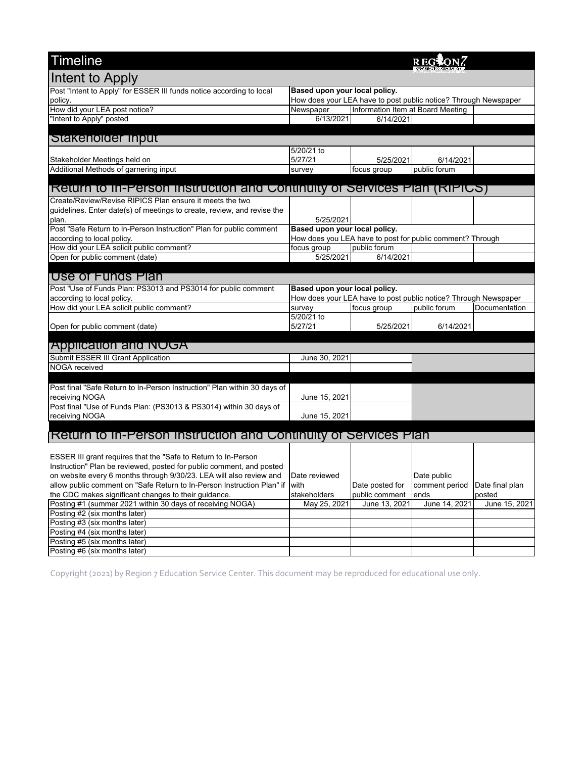| <b>Timeline</b>                                                                 |                               |                                   | <b>REG</b>                                                      |                 |
|---------------------------------------------------------------------------------|-------------------------------|-----------------------------------|-----------------------------------------------------------------|-----------------|
| Intent to Apply                                                                 |                               |                                   |                                                                 |                 |
| Post "Intent to Apply" for ESSER III funds notice according to local            | Based upon your local policy. |                                   |                                                                 |                 |
| policy.                                                                         |                               |                                   | How does your LEA have to post public notice? Through Newspaper |                 |
| How did your LEA post notice?                                                   | Newspaper                     | Information Item at Board Meeting |                                                                 |                 |
| "Intent to Apply" posted                                                        | 6/13/2021                     | 6/14/2021                         |                                                                 |                 |
|                                                                                 |                               |                                   |                                                                 |                 |
| Stakeholder Input                                                               |                               |                                   |                                                                 |                 |
|                                                                                 | 5/20/21 to                    |                                   |                                                                 |                 |
| Stakeholder Meetings held on                                                    | 5/27/21                       | 5/25/2021                         | 6/14/2021                                                       |                 |
| Additional Methods of garnering input                                           | survey                        | focus group                       | public forum                                                    |                 |
|                                                                                 |                               |                                   |                                                                 |                 |
| <u>Return to in-Person instruction and Continuity of Services Plan (RiPICS)</u> |                               |                                   |                                                                 |                 |
| Create/Review/Revise RIPICS Plan ensure it meets the two                        |                               |                                   |                                                                 |                 |
| guidelines. Enter date(s) of meetings to create, review, and revise the         |                               |                                   |                                                                 |                 |
| plan.                                                                           | 5/25/2021                     |                                   |                                                                 |                 |
| Post "Safe Return to In-Person Instruction" Plan for public comment             | Based upon your local policy. |                                   |                                                                 |                 |
| according to local policy.                                                      |                               |                                   | How does you LEA have to post for public comment? Through       |                 |
| How did your LEA solicit public comment?                                        | focus group                   | public forum                      |                                                                 |                 |
| Open for public comment (date)                                                  | 5/25/2021                     | 6/14/2021                         |                                                                 |                 |
| Use of Funds Plan                                                               |                               |                                   |                                                                 |                 |
|                                                                                 |                               |                                   |                                                                 |                 |
| Post "Use of Funds Plan: PS3013 and PS3014 for public comment                   | Based upon your local policy. |                                   |                                                                 |                 |
| according to local policy.                                                      |                               |                                   | How does your LEA have to post public notice? Through Newspaper |                 |
| How did your LEA solicit public comment?                                        | survey                        | focus group                       | public forum                                                    | Documentation   |
|                                                                                 | 5/20/21 to                    |                                   |                                                                 |                 |
| Open for public comment (date)                                                  | 5/27/21                       | 5/25/2021                         | 6/14/2021                                                       |                 |
| <b>Application and NOGA</b>                                                     |                               |                                   |                                                                 |                 |
| Submit ESSER III Grant Application                                              | June 30, 2021                 |                                   |                                                                 |                 |
| NOGA received                                                                   |                               |                                   |                                                                 |                 |
|                                                                                 |                               |                                   |                                                                 |                 |
| Post final "Safe Return to In-Person Instruction" Plan within 30 days of        |                               |                                   |                                                                 |                 |
| receiving NOGA                                                                  | June 15, 2021                 |                                   |                                                                 |                 |
| Post final "Use of Funds Plan: (PS3013 & PS3014) within 30 days of              |                               |                                   |                                                                 |                 |
| receiving NOGA                                                                  | June 15, 2021                 |                                   |                                                                 |                 |
|                                                                                 |                               |                                   |                                                                 |                 |
| <b>Return to in-Person Instruction and Continuity of Services Plan</b>          |                               |                                   |                                                                 |                 |
|                                                                                 |                               |                                   |                                                                 |                 |
| ESSER III grant requires that the "Safe to Return to In-Person                  |                               |                                   |                                                                 |                 |
| Instruction" Plan be reviewed, posted for public comment, and posted            |                               |                                   |                                                                 |                 |
| on website every 6 months through 9/30/23. LEA will also review and             | Date reviewed                 |                                   | Date public                                                     |                 |
| allow public comment on "Safe Return to In-Person Instruction Plan" if with     |                               | Date posted for                   | comment period                                                  | Date final plan |
| the CDC makes significant changes to their guidance.                            | stakeholders                  | public comment                    | ends                                                            | posted          |
| Posting #1 (summer 2021 within 30 days of receiving NOGA)                       | May 25, 2021                  | June 13, 2021                     | June 14, 2021                                                   | June 15, 2021   |
| Posting #2 (six months later)                                                   |                               |                                   |                                                                 |                 |
| Posting #3 (six months later)                                                   |                               |                                   |                                                                 |                 |
| Posting #4 (six months later)                                                   |                               |                                   |                                                                 |                 |
| Posting #5 (six months later)                                                   |                               |                                   |                                                                 |                 |
| Posting #6 (six months later)                                                   |                               |                                   |                                                                 |                 |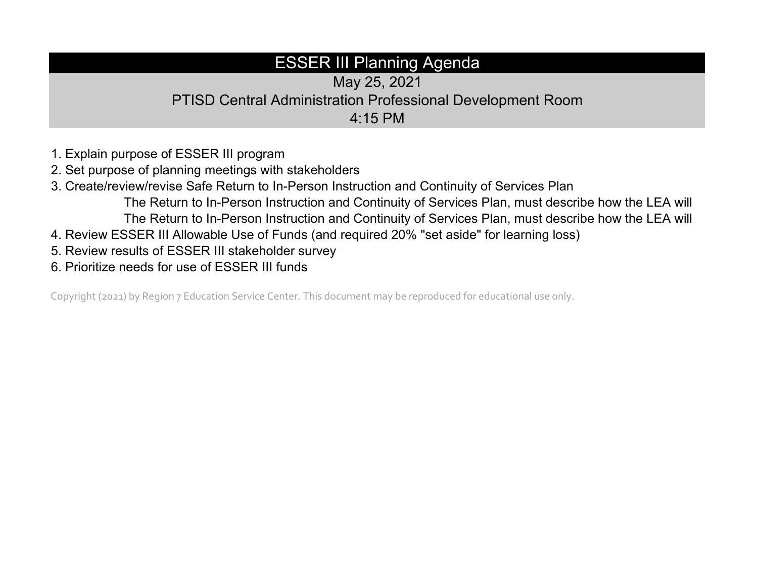## ESSER III Planning Agenda

May 25, 2021 PTISD Central Administration Professional Development Room 4:15 PM

- 1. Explain purpose of ESSER III program
- 2. Set purpose of planning meetings with stakeholders
- 3. Create/review/revise Safe Return to In-Person Instruction and Continuity of Services Plan The Return to In-Person Instruction and Continuity of Services Plan, must describe how the LEA will The Return to In-Person Instruction and Continuity of Services Plan, must describe how the LEA will
- 4. Review ESSER III Allowable Use of Funds (and required 20% "set aside" for learning loss)
- 5. Review results of ESSER III stakeholder survey
- 6. Prioritize needs for use of ESSER III funds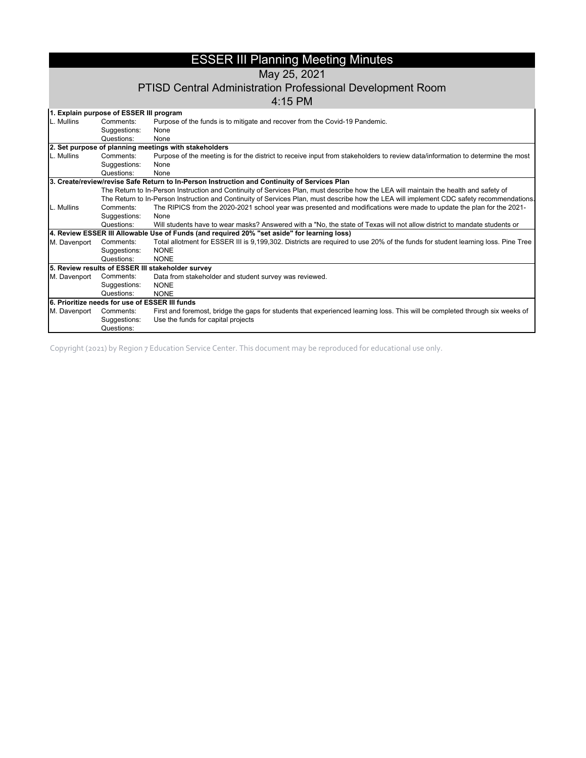### ESSER III Planning Meeting Minutes

May 25, 2021

#### PTISD Central Administration Professional Development Room

4:15 PM

|              | 1. Explain purpose of ESSER III program        |                                                                                                                                           |
|--------------|------------------------------------------------|-------------------------------------------------------------------------------------------------------------------------------------------|
| L. Mullins   | Comments:                                      | Purpose of the funds is to mitigate and recover from the Covid-19 Pandemic.                                                               |
|              | Suggestions:                                   | None                                                                                                                                      |
|              | Questions:                                     | None                                                                                                                                      |
|              |                                                | 2. Set purpose of planning meetings with stakeholders                                                                                     |
| L. Mullins   | Comments:                                      | Purpose of the meeting is for the district to receive input from stakeholders to review data/information to determine the most            |
|              | Suggestions:                                   | None                                                                                                                                      |
|              | Questions:                                     | None                                                                                                                                      |
|              |                                                | 3. Create/review/revise Safe Return to In-Person Instruction and Continuity of Services Plan                                              |
|              |                                                | The Return to In-Person Instruction and Continuity of Services Plan, must describe how the LEA will maintain the health and safety of     |
|              |                                                | The Return to In-Person Instruction and Continuity of Services Plan, must describe how the LEA will implement CDC safety recommendations. |
| L. Mullins   | Comments:                                      | The RIPICS from the 2020-2021 school year was presented and modifications were made to update the plan for the 2021-                      |
|              | Suggestions:                                   | None                                                                                                                                      |
|              | Questions:                                     | Will students have to wear masks? Answered with a "No, the state of Texas will not allow district to mandate students or                  |
|              |                                                | 4. Review ESSER III Allowable Use of Funds (and required 20% "set aside" for learning loss)                                               |
| M. Davenport | Comments:                                      | Total allotment for ESSER III is 9,199,302. Districts are required to use 20% of the funds for student learning loss. Pine Tree           |
|              | Suggestions:                                   | <b>NONE</b>                                                                                                                               |
|              | Questions:                                     | <b>NONE</b>                                                                                                                               |
|              |                                                | 5. Review results of ESSER III stakeholder survey                                                                                         |
| M. Davenport | Comments:                                      | Data from stakeholder and student survey was reviewed.                                                                                    |
|              | Suggestions:                                   | <b>NONE</b>                                                                                                                               |
|              | Questions:                                     | <b>NONE</b>                                                                                                                               |
|              | 6. Prioritize needs for use of ESSER III funds |                                                                                                                                           |
| M. Davenport | Comments:                                      | First and foremost, bridge the gaps for students that experienced learning loss. This will be completed through six weeks of              |
|              | Suggestions:                                   | Use the funds for capital projects                                                                                                        |
|              | Questions:                                     |                                                                                                                                           |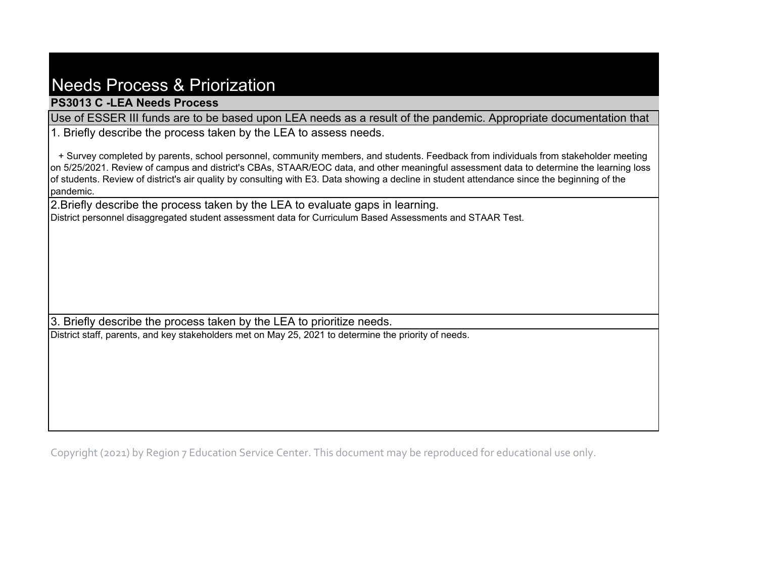## Needs Process & Priorization

**PS3013 C -LEA Needs Process**

Use of ESSER III funds are to be based upon LEA needs as a result of the pandemic. Appropriate documentation that

1. Briefly describe the process taken by the LEA to assess needs.

 + Survey completed by parents, school personnel, community members, and students. Feedback from individuals from stakeholder meeting on 5/25/2021. Review of campus and district's CBAs, STAAR/EOC data, and other meaningful assessment data to determine the learning loss of students. Review of district's air quality by consulting with E3. Data showing a decline in student attendance since the beginning of the pandemic.

2.Briefly describe the process taken by the LEA to evaluate gaps in learning. District personnel disaggregated student assessment data for Curriculum Based Assessments and STAAR Test.

3. Briefly describe the process taken by the LEA to prioritize needs.

District staff, parents, and key stakeholders met on May 25, 2021 to determine the priority of needs.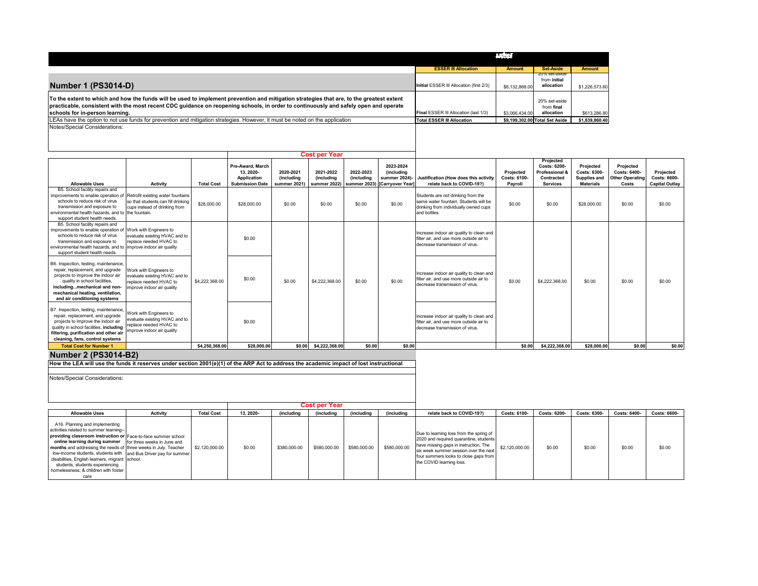|                                                                                                                                                                                                                                                                                                                     |                                          | <b>Andrew</b>  |                                             |                |
|---------------------------------------------------------------------------------------------------------------------------------------------------------------------------------------------------------------------------------------------------------------------------------------------------------------------|------------------------------------------|----------------|---------------------------------------------|----------------|
|                                                                                                                                                                                                                                                                                                                     | <b>ESSER III Allocation</b>              | <b>Amount</b>  | <b>Set-Aside</b>                            | <b>Amount</b>  |
| <b>Number 1 (PS3014-D)</b>                                                                                                                                                                                                                                                                                          | Initial ESSER III Allocation (first 2/3) | \$6,132,868.00 | zu% set-aside<br>from initial<br>allocation | \$1,226,573.60 |
| To the extent to which and how the funds will be used to implement prevention and mitigation strategies that are, to the greatest extent<br>practicable, consistent with the most recent CDC guidance on reopening schools, in order to continuously and safely open and operate<br>schools for in-person learning. | Final ESSER III Allocation (last 1/3)    | \$3,066,434,00 | 20% set-aside<br>from final<br>allocation   | \$613,286.80   |
| LEAs have the option to not use funds for prevention and mitigation strategies. However, it must be noted on the application                                                                                                                                                                                        | <b>Total ESSER III Allocation</b>        |                | \$9,199,302.00 Total Set Aside              | \$1,839,860.40 |
| Notes/Special Considerations:                                                                                                                                                                                                                                                                                       |                                          |                |                                             |                |

|                                                                                                                                                                                                                                                                       |                                                                                                                 |                   |                                                                       |                                                | <b>Cost per Year</b>                   |                                |                                                                              |                                                                                                                        |                                      |                                                                              |                                                               |                                                              |                                                    |
|-----------------------------------------------------------------------------------------------------------------------------------------------------------------------------------------------------------------------------------------------------------------------|-----------------------------------------------------------------------------------------------------------------|-------------------|-----------------------------------------------------------------------|------------------------------------------------|----------------------------------------|--------------------------------|------------------------------------------------------------------------------|------------------------------------------------------------------------------------------------------------------------|--------------------------------------|------------------------------------------------------------------------------|---------------------------------------------------------------|--------------------------------------------------------------|----------------------------------------------------|
| <b>Allowable Uses</b>                                                                                                                                                                                                                                                 | Activity                                                                                                        | <b>Total Cost</b> | Pre-Award, March<br>13.2020-<br>Application<br><b>Submission Date</b> | 2020-2021<br><i>(including</i><br>summer 2021) | 2021-2022<br><i><b>(including)</b></i> | 2022-2023<br><i>(including</i> | 2023-2024<br><i>(including</i><br>summer 2022) summer 2023) [Carryover Year] | summer 2024)- Justification (How does this activity<br>relate back to COVID-19?)                                       | Projected<br>Costs: 6100-<br>Payroll | Projected<br>Costs: 6200-<br>Professional &<br>Contracted<br><b>Services</b> | Projected<br>Costs: 6300-<br>Supplies and<br><b>Materials</b> | Projected<br>Costs: 6400-<br><b>Other Operating</b><br>Costs | Projected<br>Costs: 6600-<br><b>Capital Outlay</b> |
| B5. School facility repairs and<br>improvements to enable operation of                                                                                                                                                                                                | Retrofit existing water fountains                                                                               |                   |                                                                       |                                                |                                        |                                |                                                                              | Students are not drinking from the                                                                                     |                                      |                                                                              |                                                               |                                                              |                                                    |
| schools to reduce risk of virus<br>transmission and exposure to<br>environmental health hazards, and to the fountain.<br>support student health needs.                                                                                                                | so that students can fill drinking<br>cups instead of drinking from                                             | \$28,000.00       | \$28,000.00                                                           | \$0.00                                         | \$0.00                                 | \$0.00                         | \$0.00                                                                       | same water fountain. Students will be<br>drinking from individually owned cups<br>and bottles.                         | \$0.00                               | \$0.00                                                                       | \$28,000.00                                                   | \$0.00                                                       | \$0.00                                             |
| B5. School facility repairs and<br>improvements to enable operation of Work with Engineers to<br>schools to reduce risk of virus<br>transmission and exposure to<br>environmental health hazards, and to limprove indoor air quality<br>support student health needs. | evaluate existing HVAC and to<br>replace needed HVAC to                                                         |                   | \$0.00                                                                |                                                |                                        |                                |                                                                              | Increase indoor air quality to clean and<br>filter air, and use more outside air to<br>decrease transmission of virus. |                                      |                                                                              |                                                               |                                                              |                                                    |
| B6. Inspection, testing, maintenance,<br>repair, replacement, and upgrade<br>projects to improve the indoor air<br>quality in school facilities.<br>includingmechanical and non-<br>mechanical heating, ventilation,<br>and air conditioning systems                  | Work with Engineers to<br>evaluate existing HVAC and to<br>replace needed HVAC to<br>improve indoor air quality | \$4,222,368.00    | \$0.00                                                                | \$0.00                                         | \$4,222,368.00                         | \$0.00                         | \$0.00                                                                       | Increase indoor air quality to clean and<br>filter air, and use more outside air to<br>decrease transmission of virus. | \$0.00                               | \$4,222,368.00                                                               | \$0.00                                                        | \$0.00                                                       | \$0.00                                             |
| B7. Inspection, testing, maintenance,<br>repair, replacement, and upgrade<br>projects to improve the indoor air<br>quality in school facilities, including<br>filtering, purification and other air<br>cleaning, fans, control systems                                | Work with Engineers to<br>evaluate existing HVAC and to<br>replace needed HVAC to<br>improve indoor air quality |                   | \$0.00                                                                |                                                |                                        |                                |                                                                              | Increase indoor air quality to clean and<br>filter air, and use more outside air to<br>decrease transmission of virus. |                                      |                                                                              |                                                               |                                                              |                                                    |
| <b>Total Cost for Number 1</b>                                                                                                                                                                                                                                        |                                                                                                                 | \$4.250.368.00    | \$28,000.00                                                           | \$0.00                                         | \$4,222,368.00                         | \$0.00                         | \$0.00                                                                       |                                                                                                                        | \$0.00                               | \$4.222.368.00                                                               | \$28,000.00                                                   | \$0.00                                                       | \$0.00                                             |

**Number 2 (PS3014-B2) How the LEA will use the funds it reserves under section 2001(e)(1) of the ARP Act to address the academic impact of lost instructional** 

Notes/Special Considerations:

|                                                                                                                                                                                                                                                                                                                                                                                                                                                                                      |          |                   |          |              | Cost per Year |              |              |                                                                                                                                                                                                                                          |                |              |              |              |              |
|--------------------------------------------------------------------------------------------------------------------------------------------------------------------------------------------------------------------------------------------------------------------------------------------------------------------------------------------------------------------------------------------------------------------------------------------------------------------------------------|----------|-------------------|----------|--------------|---------------|--------------|--------------|------------------------------------------------------------------------------------------------------------------------------------------------------------------------------------------------------------------------------------------|----------------|--------------|--------------|--------------|--------------|
| <b>Allowable Uses</b>                                                                                                                                                                                                                                                                                                                                                                                                                                                                | Activity | <b>Total Cost</b> | 13.2020- | (including   | (including    | (including   | (including   | relate back to COVID-19?)                                                                                                                                                                                                                | Costs: 6100-   | Costs: 6200- | Costs: 6300- | Costs: 6400- | Costs: 6600- |
| A16. Planning and implementing<br>activities related to summer learning--<br>providing classroom instruction or Face-to-face summer school<br>online learning during summer for three weeks in June and<br>months and addressing the needs of three weeks in July. Teacher<br>low-income students, students with and Bus Driver pay for summer<br>disabilities, English learners, migrant school.<br>students, students experiencing<br>homelessness, & children with foster<br>care |          | \$2,120,000.00    | \$0.00   | \$380,000.00 | \$580,000.00  | \$580,000.00 | \$580,000.00 | Due to learning loss from the spring of<br>2020 and required quarantine, students<br>have missing gaps in instruction. The<br>six week summer session over the next<br>four summers looks to close gaps from<br>the COVID learning loss. | \$2,120,000.00 | \$0.00       | \$0.00       | \$0.00       | \$0.00       |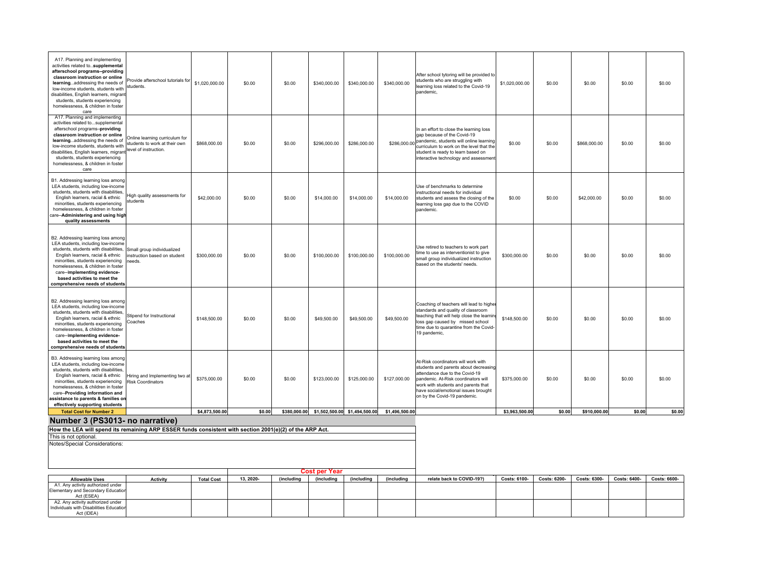| A17. Planning and implementing<br>activities related tosupplemental<br>afterschool programs--providing<br>classroom instruction or online<br>learningaddressing the needs of<br>low-income students, students with<br>disabilities, English learners, migrant<br>students, students experiencing<br>homelessness, & children in foster<br>care | Provide afterschool tutorials for<br>students.                                           | \$1,020,000.00    | \$0.00    | \$0.00       | \$340,000.00  | \$340,000.00                  | \$340,000.00   | After school tytoring will be provided to<br>students who are struggling with<br>learning loss related to the Covid-19<br>pandemic,                                                                                                                                  | \$1,020,000.00 | \$0.00       | \$0.00       | \$0.00       | \$0.00       |
|------------------------------------------------------------------------------------------------------------------------------------------------------------------------------------------------------------------------------------------------------------------------------------------------------------------------------------------------|------------------------------------------------------------------------------------------|-------------------|-----------|--------------|---------------|-------------------------------|----------------|----------------------------------------------------------------------------------------------------------------------------------------------------------------------------------------------------------------------------------------------------------------------|----------------|--------------|--------------|--------------|--------------|
| A17. Planning and implementing<br>activities related tosupplemental<br>afterschool programs-providing<br>classroom instruction or online<br>learningaddressing the needs of<br>low-income students, students with<br>disabilities, English learners, migrant<br>students, students experiencing<br>homelessness, & children in foster<br>care  | Online learning curriculum for<br>students to work at their own<br>level of instruction. | \$868,000.00      | \$0.00    | \$0.00       | \$296,000.00  | \$286,000.00                  |                | In an effort to close the learning loss<br>gap because of the Covid-19<br>\$286,000.00 pandemic, students will online learning<br>curriculum to work on the level that the<br>student is ready to learn based on<br>interactive technology and assessment            | \$0.00         | \$0.00       | \$868,000.00 | \$0.00       | \$0.00       |
| B1. Addressing learning loss among<br>LEA students, including low-income<br>students, students with disabilities,<br>English learners, racial & ethnic<br>minorities, students experiencing<br>homelessness, & children in foster<br>care--Administering and using high<br>quality assessments                                                 | ligh quality assessments for<br>students                                                 | \$42,000.00       | \$0.00    | \$0.00       | \$14,000.00   | \$14,000.00                   | \$14,000.00    | Use of benchmarks to determine<br>instructional needs for individual<br>students and assess the closing of the<br>learning loss gap due to the COVID<br>pandemic.                                                                                                    | \$0.00         | \$0.00       | \$42,000.00  | \$0.00       | \$0.00       |
| B2. Addressing learning loss among<br>LEA students, including low-income<br>students, students with disabilities,<br>English learners, racial & ethnic<br>minorities, students experiencing<br>homelessness, & children in foster<br>care--implementing evidence-<br>based activities to meet the<br>comprehensive needs of students           | Small group individualized<br>instruction based on student<br>eeds                       | \$300,000.00      | \$0.00    | \$0.00       | \$100,000.00  | \$100,000.00                  | \$100,000.00   | Use retired to teachers to work part<br>ime to use as interventionist to give<br>small group individualized instruction<br>based on the students' needs.                                                                                                             | \$300,000.00   | \$0.00       | \$0.00       | \$0.00       | \$0.00       |
| B2. Addressing learning loss among<br>LEA students, including low-income<br>students, students with disabilities,<br>English learners, racial & ethnic<br>minorities, students experiencing<br>homelessness, & children in foster<br>care--implementing evidence-<br>based activities to meet the<br>comprehensive needs of students           | Stipend for Instructional<br><b>caches</b>                                               | \$148,500.00      | \$0.00    | \$0.00       | \$49,500.00   | \$49,500.00                   | \$49,500.00    | Coaching of teachers will lead to higher<br>standards and quality of classroom<br>teaching that will help close the learnin<br>loss gap caused by missed school<br>time due to quarantine from the Covid-<br>19 pandemic,                                            | \$148,500.00   | \$0.00       | \$0.00       | \$0.00       | \$0.00       |
| B3. Addressing learning loss among<br>LEA students, including low-income<br>students, students with disabilities,<br>English learners, racial & ethnic<br>minorities, students experiencing<br>homelessness, & children in foster<br>care--Providing information and<br>ssistance to parents & families on<br>effectively supporting students  | Hiring and Implementing two at<br><b>Risk Coordinators</b>                               | \$375,000.00      | \$0.00    | \$0.00       | \$123,000.00  | \$125,000.00                  | \$127,000.00   | At-Risk coordinators will work with<br>students and parents about decreasing<br>attendance due to the Covid-19<br>pandemic. At-Risk coordinators will<br>work with students and parents that<br>have social/emotional issues brought<br>on by the Covid-19 pandemic. | \$375,000.00   | \$0.00       | \$0.00       | \$0.00       | \$0.00       |
| <b>Total Cost for Number 2</b>                                                                                                                                                                                                                                                                                                                 |                                                                                          | \$4,873,500.00    | \$0.00    | \$380,000.00 |               | \$1,502,500.00 \$1,494,500.00 | \$1,496,500.00 |                                                                                                                                                                                                                                                                      | \$3,963,500.00 | \$0.00       | \$910,000.00 | \$0.00       | \$0.00       |
| Number 3 (PS3013- no narrative)<br>How the LEA will spend its remaining ARP ESSER funds consistent with section 2001(e)(2) of the ARP Act.                                                                                                                                                                                                     |                                                                                          |                   |           |              |               |                               |                |                                                                                                                                                                                                                                                                      |                |              |              |              |              |
| This is not optional.                                                                                                                                                                                                                                                                                                                          |                                                                                          |                   |           |              |               |                               |                |                                                                                                                                                                                                                                                                      |                |              |              |              |              |
| Notes/Special Considerations:                                                                                                                                                                                                                                                                                                                  |                                                                                          |                   |           |              | Cost per Year |                               |                |                                                                                                                                                                                                                                                                      |                |              |              |              |              |
| <b>Allowable Uses</b>                                                                                                                                                                                                                                                                                                                          | <b>Activity</b>                                                                          | <b>Total Cost</b> | 13, 2020- | (including   | (including    | (including                    | (including     | relate back to COVID-19?)                                                                                                                                                                                                                                            | Costs: 6100-   | Costs: 6200- | Costs: 6300- | Costs: 6400- | Costs: 6600- |
| A1. Any activity authorized under<br>Elementary and Secondary Educatior<br>Act (ESEA)<br>A2. Any activity authorized under                                                                                                                                                                                                                     |                                                                                          |                   |           |              |               |                               |                |                                                                                                                                                                                                                                                                      |                |              |              |              |              |
| Individuals with Disabilities Education<br>Act (IDEA)                                                                                                                                                                                                                                                                                          |                                                                                          |                   |           |              |               |                               |                |                                                                                                                                                                                                                                                                      |                |              |              |              |              |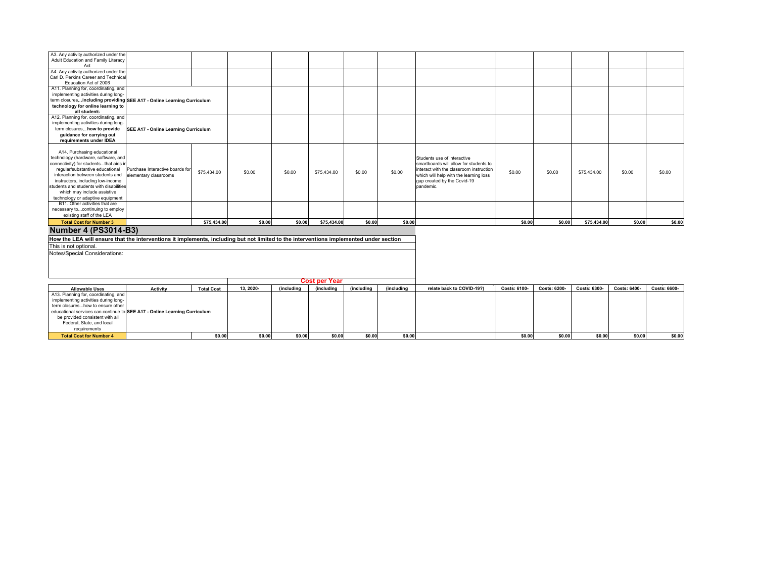| A3. Any activity authorized under the                                                                                                  |                                      |                   |          |                   |                          |                           |                   |                                         |              |              |              |              |              |
|----------------------------------------------------------------------------------------------------------------------------------------|--------------------------------------|-------------------|----------|-------------------|--------------------------|---------------------------|-------------------|-----------------------------------------|--------------|--------------|--------------|--------------|--------------|
| Adult Education and Family Literacy                                                                                                    |                                      |                   |          |                   |                          |                           |                   |                                         |              |              |              |              |              |
| Act                                                                                                                                    |                                      |                   |          |                   |                          |                           |                   |                                         |              |              |              |              |              |
| A4. Any activity authorized under the                                                                                                  |                                      |                   |          |                   |                          |                           |                   |                                         |              |              |              |              |              |
| Carl D. Perkins Career and Technica                                                                                                    |                                      |                   |          |                   |                          |                           |                   |                                         |              |              |              |              |              |
| Education Act of 2006                                                                                                                  |                                      |                   |          |                   |                          |                           |                   |                                         |              |              |              |              |              |
| A11. Planning for, coordinating, and                                                                                                   |                                      |                   |          |                   |                          |                           |                   |                                         |              |              |              |              |              |
| implementing activities during long-                                                                                                   |                                      |                   |          |                   |                          |                           |                   |                                         |              |              |              |              |              |
| term closures,including providing SEE A17 - Online Learning Curriculum                                                                 |                                      |                   |          |                   |                          |                           |                   |                                         |              |              |              |              |              |
| technology for online learning to                                                                                                      |                                      |                   |          |                   |                          |                           |                   |                                         |              |              |              |              |              |
| all students                                                                                                                           |                                      |                   |          |                   |                          |                           |                   |                                         |              |              |              |              |              |
| A12. Planning for, coordinating, and                                                                                                   |                                      |                   |          |                   |                          |                           |                   |                                         |              |              |              |              |              |
| implementing activities during long-                                                                                                   |                                      |                   |          |                   |                          |                           |                   |                                         |              |              |              |              |              |
| term closures,how to provide                                                                                                           | SEE A17 - Online Learning Curriculum |                   |          |                   |                          |                           |                   |                                         |              |              |              |              |              |
| guidance for carrying out                                                                                                              |                                      |                   |          |                   |                          |                           |                   |                                         |              |              |              |              |              |
| requirements under IDEA                                                                                                                |                                      |                   |          |                   |                          |                           |                   |                                         |              |              |              |              |              |
|                                                                                                                                        |                                      |                   |          |                   |                          |                           |                   |                                         |              |              |              |              |              |
| A14. Purchasing educational                                                                                                            |                                      |                   |          |                   |                          |                           |                   |                                         |              |              |              |              |              |
| technology (hardware, software, and                                                                                                    |                                      |                   |          |                   |                          |                           |                   | Students use of interactive             |              |              |              |              |              |
| connectivity) for studentsthat aids i                                                                                                  |                                      |                   |          |                   |                          |                           |                   | smartboards will allow for students to  |              |              |              |              |              |
| regular/substantive educational                                                                                                        | Purchase Interactive boards for      |                   |          |                   |                          |                           |                   | interact with the classroom instruction |              |              |              |              |              |
| interaction between students and                                                                                                       | elementary classrooms                | \$75,434.00       | \$0.00   | \$0.00            | \$75,434.00              | \$0.00                    | \$0.00            | which will help with the learning loss  | \$0.00       | \$0.00       | \$75,434.00  | \$0.00       | \$0.00       |
| instructors, including low-income                                                                                                      |                                      |                   |          |                   |                          |                           |                   | gap created by the Covid-19             |              |              |              |              |              |
| students and students with disabilitie                                                                                                 |                                      |                   |          |                   |                          |                           |                   | pandemic.                               |              |              |              |              |              |
| which may include assistive                                                                                                            |                                      |                   |          |                   |                          |                           |                   |                                         |              |              |              |              |              |
| technology or adaptive equipment                                                                                                       |                                      |                   |          |                   |                          |                           |                   |                                         |              |              |              |              |              |
| B11. Other activities that are                                                                                                         |                                      |                   |          |                   |                          |                           |                   |                                         |              |              |              |              |              |
|                                                                                                                                        |                                      |                   |          |                   |                          |                           |                   |                                         |              |              |              |              |              |
| necessary tocontinuing to employ                                                                                                       |                                      |                   |          |                   |                          |                           |                   |                                         |              |              |              |              |              |
| existing staff of the LEA                                                                                                              |                                      |                   |          |                   |                          |                           |                   |                                         |              |              |              |              |              |
| <b>Total Cost for Number 3</b>                                                                                                         |                                      | \$75,434.00       | \$0.00   | \$0.00            | \$75,434.00              | \$0.00                    | \$0.00            |                                         | \$0.00       | \$0.00       | \$75.434.00  | \$0.00       | \$0.00       |
| <b>Number 4 (PS3014-B3)</b>                                                                                                            |                                      |                   |          |                   |                          |                           |                   |                                         |              |              |              |              |              |
| How the LEA will ensure that the interventions it implements, including but not limited to the interventions implemented under section |                                      |                   |          |                   |                          |                           |                   |                                         |              |              |              |              |              |
| This is not optional.                                                                                                                  |                                      |                   |          |                   |                          |                           |                   |                                         |              |              |              |              |              |
| Notes/Special Considerations:                                                                                                          |                                      |                   |          |                   |                          |                           |                   |                                         |              |              |              |              |              |
|                                                                                                                                        |                                      |                   |          |                   |                          |                           |                   |                                         |              |              |              |              |              |
|                                                                                                                                        |                                      |                   |          |                   |                          |                           |                   |                                         |              |              |              |              |              |
|                                                                                                                                        |                                      |                   |          |                   |                          |                           |                   |                                         |              |              |              |              |              |
|                                                                                                                                        |                                      |                   |          |                   |                          |                           |                   |                                         |              |              |              |              |              |
|                                                                                                                                        |                                      |                   |          |                   | <b>Cost per Year</b>     |                           |                   |                                         |              |              |              |              |              |
| <b>Allowable Uses</b>                                                                                                                  | <b>Activity</b>                      | <b>Total Cost</b> | 13.2020- | <i>(including</i> | <i><b>(including</b></i> | <i><b>(including)</b></i> | <i>(including</i> | relate back to COVID-19?)               | Costs: 6100- | Costs: 6200- | Costs: 6300- | Costs: 6400- | Costs: 6600- |
| A13. Planning for, coordinating, and                                                                                                   |                                      |                   |          |                   |                          |                           |                   |                                         |              |              |              |              |              |
| implementing activities during long-                                                                                                   |                                      |                   |          |                   |                          |                           |                   |                                         |              |              |              |              |              |
| term closureshow to ensure other                                                                                                       |                                      |                   |          |                   |                          |                           |                   |                                         |              |              |              |              |              |
| educational services can continue to SEE A17 - Online Learning Curriculum                                                              |                                      |                   |          |                   |                          |                           |                   |                                         |              |              |              |              |              |
| be provided consistent with all                                                                                                        |                                      |                   |          |                   |                          |                           |                   |                                         |              |              |              |              |              |
| Federal, State, and local                                                                                                              |                                      |                   |          |                   |                          |                           |                   |                                         |              |              |              |              |              |
| requirements                                                                                                                           |                                      |                   |          |                   |                          |                           |                   |                                         |              |              |              |              |              |
| <b>Total Cost for Number 4</b>                                                                                                         |                                      | \$0.00            | \$0.00   | \$0.00            | \$0.00                   | \$0.00                    | \$0.00            |                                         | \$0.00       | \$0.00       | \$0.00       | \$0.00       | \$0.00       |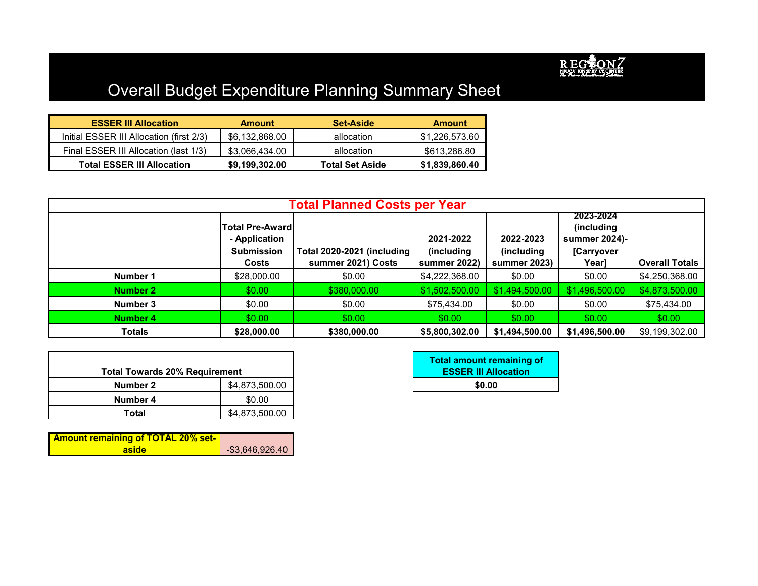

# Overall Budget Expenditure Planning Summary Sheet

| <b>ESSER III Allocation</b>              | <b>Amount</b>  | <b>Set-Aside</b>       | <b>Amount</b>  |
|------------------------------------------|----------------|------------------------|----------------|
| Initial ESSER III Allocation (first 2/3) | \$6,132,868.00 | allocation             | \$1,226,573.60 |
| Final ESSER III Allocation (last 1/3)    | \$3,066,434.00 | allocation             | \$613,286.80   |
| <b>Total ESSER III Allocation</b>        | \$9,199,302.00 | <b>Total Set Aside</b> | \$1,839,860.40 |

|          |                                                               | <b>Total Planned Costs per Year</b> |                         |                         |                                                        |                       |
|----------|---------------------------------------------------------------|-------------------------------------|-------------------------|-------------------------|--------------------------------------------------------|-----------------------|
|          | <b>Total Pre-Awardl</b><br>- Application<br><b>Submission</b> | Total 2020-2021 (including          | 2021-2022<br>(including | 2022-2023<br>(including | 2023-2024<br>(including<br>summer 2024)-<br>[Carryover |                       |
|          | Costs                                                         | summer 2021) Costs                  | summer 2022)            | summer 2023)            | Year]                                                  | <b>Overall Totals</b> |
| Number 1 | \$28,000.00                                                   | \$0.00                              | \$4,222,368.00          | \$0.00                  | \$0.00                                                 | \$4,250,368.00        |
| Number 2 | \$0.00                                                        | \$380,000.00                        | \$1,502,500.00          | \$1,494,500.00          | \$1,496,500.00                                         | \$4,873,500.00        |
| Number 3 | \$0.00                                                        | \$0.00                              | \$75,434.00             | \$0.00                  | \$0.00                                                 | \$75,434.00           |
| Number 4 | \$0.00                                                        | \$0.00                              | \$0.00                  | \$0.00                  | \$0.00                                                 | \$0.00                |
| Totals   | \$28,000.00                                                   | \$380,000.00                        | \$5,800,302.00          | \$1,494,500.00          | \$1,496,500.00                                         | \$9,199,302.00        |

| <b>Total Towards 20% Requirement</b> |                |
|--------------------------------------|----------------|
| Number 2                             | \$4,873,500.00 |
| Number 4                             | \$0.00         |
| Total                                | \$4,873,500.00 |

| <b>Total amount remaining of</b><br><b>ESSER III Allocation</b> |
|-----------------------------------------------------------------|
| \$0.00                                                          |

| <b>Amount remaining of TOTAL 20% set-</b> |                 |
|-------------------------------------------|-----------------|
| aside                                     | -\$3,646,926.40 |